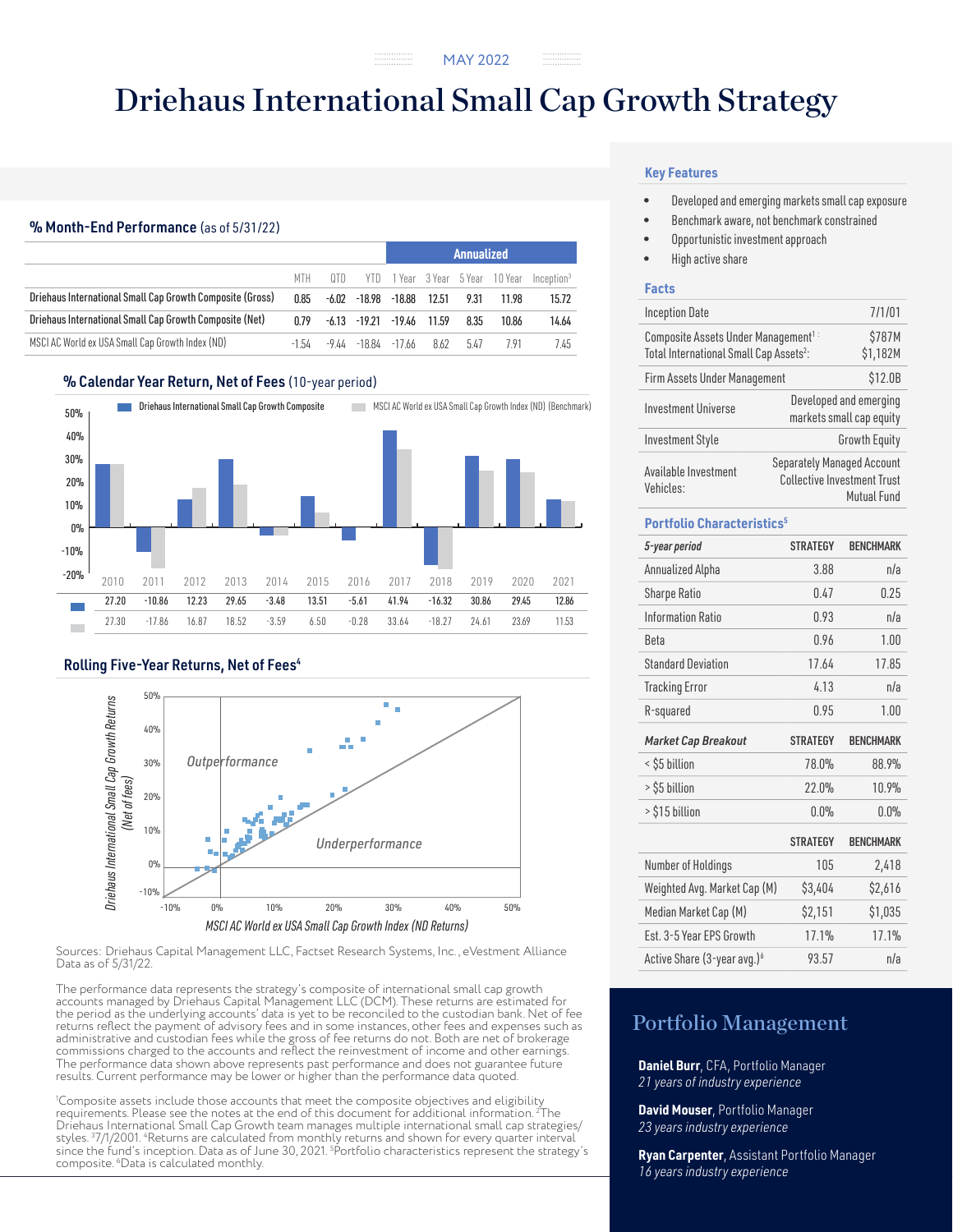# Driehaus International Small Cap Growth Strategy

## % Month-End Performance (as of 5/31/22)

|                                                           |         |       |                       | Annualized |       |      |                              |                        |
|-----------------------------------------------------------|---------|-------|-----------------------|------------|-------|------|------------------------------|------------------------|
|                                                           | MTH.    | n n   | YTD.                  |            |       |      | 1 Year 3 Year 5 Year 10 Year | Inception <sup>3</sup> |
| Driehaus International Small Cap Growth Composite (Gross) | 0.85    | -6.02 | -18.98                | $-18.88$   | 12.51 | 9.31 | 11.98                        | 15.72                  |
| Driehaus International Small Cap Growth Composite (Net)   | በ 79    |       | $-6.13 -19.21 -19.46$ |            | 11.59 | 8.35 | 10.86                        | 14.64                  |
| MSCI AC World ex USA Small Cap Growth Index (ND)          | $-1.54$ | -9 44 | -18.84                | -17.66     | 862   | 547  | 791                          | 7.45                   |

### % Calendar Year Return, Net of Fees (10-year period)



### Rolling Five-Year Returns, Net of Fees<sup>4</sup>



Sources: Driehaus Capital Management LLC, Factset Research Systems, Inc., eVestment Alliance Data as of 5/31/22.

The performance data represents the strategy's composite of international small cap growth accounts managed by Driehaus Capital Management LLC (DCM). These returns are estimated for the period as the underlying accounts' data is yet to be reconciled to the custodian bank. Net of fee returns reflect the payment of advisory fees and in some instances, other fees and expenses such as administrative and custodian fees while the gross of fee returns do not. Both are net of brokerage commissions charged to the accounts and reflect the reinvestment of income and other earnings. The performance data shown above represents past performance and does not guarantee future results. Current performance may be lower or higher than the performance data quoted.

1 Composite assets include those accounts that meet the composite objectives and eligibility requirements. Please see the notes at the end of this document for additional information. 2 The Driehaus International Small Cap Growth team manages multiple international small cap strategies/<br>styles. <sup>3</sup>7/1/2001. <del>"</del>Returns are calculated from monthly returns and shown for every quarter interval since the fund's inception. Data as of June 30, 2021. <sup>5</sup> Portfolio characteristics represent the strategy's composite. 6 Data is calculated monthly.

### **Key Features**

- Developed and emerging markets small cap exposure
- Benchmark aware, not benchmark constrained
- Opportunistic investment approach
- High active share

### **Facts**

| <b>Inception Date</b>                                                                                  |                                   | 7/1/01                                             |
|--------------------------------------------------------------------------------------------------------|-----------------------------------|----------------------------------------------------|
| Composite Assets Under Management <sup>1:</sup><br>Total International Small Cap Assets <sup>2</sup> : |                                   | \$787M<br>\$1,182M                                 |
| Firm Assets Under Management                                                                           |                                   | \$12.0B                                            |
| Investment Universe                                                                                    |                                   | Developed and emerging<br>markets small cap equity |
| <b>Investment Style</b>                                                                                |                                   | <b>Growth Equity</b>                               |
| Available Investment<br>Vehicles:                                                                      | <b>Separately Managed Account</b> | <b>Collective Investment Trust</b><br>Mutual Fund  |

### **Portfolio Characteristics5**

| 5-year period                           | <b>STRATEGY</b> | <b>BENCHMARK</b> |
|-----------------------------------------|-----------------|------------------|
| Annualized Alpha                        | 3.88            | n/a              |
| <b>Sharpe Ratio</b>                     | 0.47            | 0.25             |
| <b>Information Ratio</b>                | 0.93            | n/a              |
| <b>Beta</b>                             | 0.96            | 1.00             |
| <b>Standard Deviation</b>               | 17.64           | 17.85            |
| <b>Tracking Error</b>                   | 4.13            | n/a              |
| R-squared                               | 0.95            | 1.00             |
| <b>Market Cap Breakout</b>              | <b>STRATEGY</b> | <b>BENCHMARK</b> |
| < \$5 billion                           | 78.0%           | 88.9%            |
| > \$5 billion                           | 22.0%           | 10.9%            |
| > \$15 billion                          | 0.0%            | 0.0%             |
|                                         | <b>STRATEGY</b> | <b>BFNCHMARK</b> |
| Number of Holdings                      | 105             | 2,418            |
| Weighted Avg. Market Cap (M)            | \$3,404         | \$2,616          |
| Median Market Cap (M)                   | \$2,151         | \$1,035          |
| Est. 3-5 Year FPS Growth                | 17.1%           | 17.1%            |
| Active Share (3-year avg.) <sup>6</sup> | 93.57           | n/a              |

# Portfolio Management

**Daniel Burr**, CFA, Portfolio Manager *21 years of industry experience*

**David Mouser**, Portfolio Manager *23 years industry experience*

**Ryan Carpenter**, Assistant Portfolio Manager *16 years industry experience*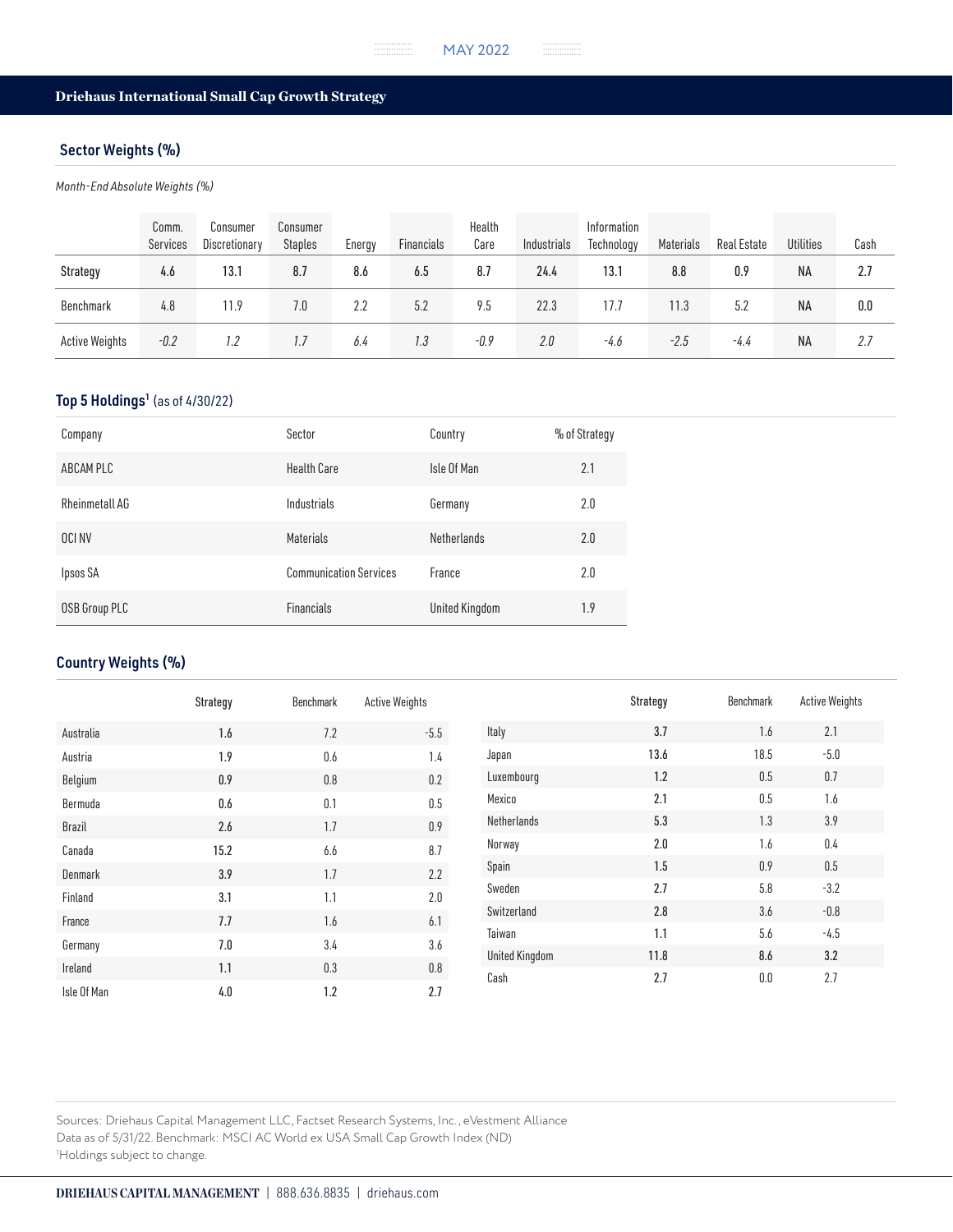# Driehaus International Small Cap Growth Strategy

# Sector Weights (%)

*Month-End Absolute Weights (%)*

|                       | Comm.<br>Services | Consumer<br>Discretionary | Consumer<br><b>Staples</b> | Energy | Financials | Health<br>Care | Industrials | Information<br>Technology | Materials | Real Estate | <b>Utilities</b> | Cash |
|-----------------------|-------------------|---------------------------|----------------------------|--------|------------|----------------|-------------|---------------------------|-----------|-------------|------------------|------|
| Strategy              | 4.6               | 13.1                      | 8.7                        | 8.6    | 6.5        | 8.7            | 24.4        | 13.1                      | 8.8       | 0.9         | <b>NA</b>        | 2.7  |
| Benchmark             | 4.8               | 11.9                      | 7.0                        | 2.2    | 5.2        | 9.5            | 22.3        | 17.7                      | 11.3      | 5.2         | <b>NA</b>        | 0.0  |
| <b>Active Weights</b> | $-0.2$            | 1.2                       | 1.7                        | 6.4    | 1.3        | $-0.9$         | 2.0         | -4.6                      | $-2.5$    | $-4.4$      | ΝA               | 2.7  |

# Top 5 Holdings<sup>1</sup> (as of 4/30/22)

| Company        | Sector                        | Country            | % of Strategy |
|----------------|-------------------------------|--------------------|---------------|
| ABCAM PLC      | <b>Health Care</b>            | Isle Of Man        | 2.1           |
| Rheinmetall AG | Industrials                   | Germany            | 2.0           |
| OCI NV         | <b>Materials</b>              | <b>Netherlands</b> | 2.0           |
| Ipsos SA       | <b>Communication Services</b> | France             | 2.0           |
| OSB Group PLC  | <b>Financials</b>             | United Kingdom     | 1.9           |

# Country Weights (%)

|             | Strategy | Benchmark | <b>Active Weights</b> |                       | Strategy | Benchmark | <b>Active Weights</b> |
|-------------|----------|-----------|-----------------------|-----------------------|----------|-----------|-----------------------|
| Australia   | 1.6      | 7.2       | $-5.5$                | Italy                 | 3.7      | 1.6       | 2.1                   |
| Austria     | 1.9      | 0.6       | 1.4                   | Japan                 | 13.6     | 18.5      | $-5.0$                |
| Belgium     | 0.9      | 0.8       | $0.2\,$               | Luxembourg            | 1.2      | 0.5       | 0.7                   |
| Bermuda     | 0.6      | 0.1       | 0.5                   | Mexico                | 2.1      | 0.5       | 1.6                   |
| Brazil      | 2.6      | 1.7       | $0.9\,$               | Netherlands           | 5.3      | 1.3       | 3.9                   |
| Canada      | 15.2     | 6.6       | 8.7                   | Norway                | 2.0      | 1.6       | 0.4                   |
| Denmark     | 3.9      | 1.7       | 2.2                   | Spain                 | 1.5      | 0.9       | 0.5                   |
| Finland     | 3.1      | 1.1       | 2.0                   | Sweden                | 2.7      | 5.8       | $-3.2$                |
| France      | 7.7      | 1.6       | 6.1                   | Switzerland           | 2.8      | 3.6       | $-0.8$                |
| Germany     | 7.0      | 3.4       | 3.6                   | Taiwan                | 1.1      | 5.6       | $-4.5$                |
| Ireland     | 1.1      | 0.3       | $0.8\,$               | <b>United Kingdom</b> | 11.8     | 8.6       | 3.2                   |
| Isle Of Man | 4.0      | 1.2       | 2.7                   | Cash                  | 2.7      | 0.0       | 2.7                   |

Sources: Driehaus Capital Management LLC, Factset Research Systems, Inc., eVestment Alliance Data as of 5/31/22. Benchmark: MSCI AC World ex USA Small Cap Growth Index (ND) 1 Holdings subject to change.